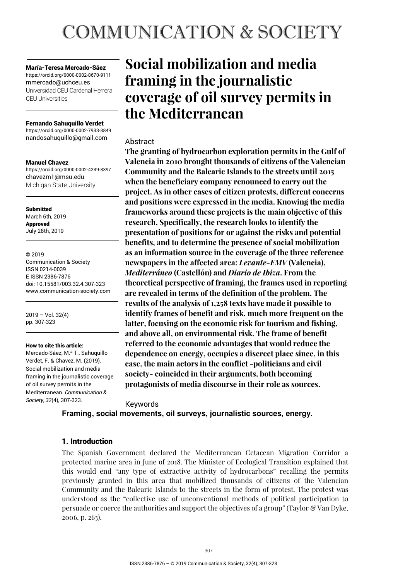# **COMMUNICATION & SOCIETY**

María-Teresa Mercado-Sáez https://orcid.org/0000-0002-8670-9111 mmercado@uchceu.es Universidad CEU Cardenal Herrera CEU Universities

#### Fernando Sahuquillo Verdet

https://orcid.org/0000-0002-7933-3849 nandosahuquillo@gmail.com

#### Manuel Chavez

https://orcid.org/0000-0002-4239-3397 chavezm1@msu.edu Michigan State University

Submitted March 6th, 2019 Approved July 28th, 2019

© 2019

Communication & Society ISSN 0214-0039 E ISSN 2386-7876 doi: 10.15581/003.32.4.307-323 www.communication-society.com

2019 – Vol. 32(4) pp. 307-323

#### How to cite this article:

Mercado-Sáez, M.ª T., Sahuquillo Verdet, F. & Chavez, M. (2019). Social mobilization and media framing in the journalistic coverage of oil survey permits in the Mediterranean. *Communication & Society, 32*(4)*,* 307-323.

# **Social mobilization and media framing in the journalistic coverage of oil survey permits in the Mediterranean**

# Abstract

**The granting of hydrocarbon exploration permits in the Gulf of Valencia in 2010 brought thousands of citizens of the Valencian Community and the Balearic Islands to the streets until 2015 when the beneficiary company renounced to carry out the project. As in other cases of citizen protests, different concerns and positions were expressed in the media. Knowing the media frameworks around these projects is the main objective of this research. Specifically, the research looks to identify the presentation of positions for or against the risks and potential benefits, and to determine the presence of social mobilization as an information source in the coverage of the three reference newspapers in the affected area:** *Levante-EMV* **(Valencia),**  *Mediterráneo* **(Castellón) and** *Diario de Ibiza***. From the theoretical perspective of framing, the frames used in reporting are revealed in terms of the definition of the problem. The results of the analysis of 1,258 texts have made it possible to identify frames of benefit and risk, much more frequent on the latter, focusing on the economic risk for tourism and fishing, and above all, on environmental risk. The frame of benefit referred to the economic advantages that would reduce the dependence on energy, occupies a discreet place since, in this case, the main actors in the conflict -politicians and civil society- coincided in their arguments, both becoming protagonists of media discourse in their role as sources.** 

#### Keywords

**Framing, social movements, oil surveys, journalistic sources, energy.** 

# 1. Introduction

The Spanish Government declared the Mediterranean Cetacean Migration Corridor a protected marine area in June of 2018. The Minister of Ecological Transition explained that this would end "any type of extractive activity of hydrocarbons" recalling the permits previously granted in this area that mobilized thousands of citizens of the Valencian Community and the Balearic Islands to the streets in the form of protest. The protest was understood as the "collective use of unconventional methods of political participation to persuade or coerce the authorities and support the objectives of a group" (Taylor & Van Dyke, 2006, p. 263).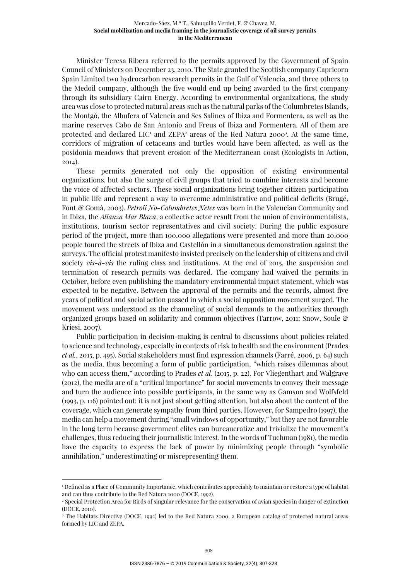Minister Teresa Ribera referred to the permits approved by the Government of Spain Council of Ministers on December 23, 2010. The State granted the Scottish company Capricorn Spain Limited two hydrocarbon research permits in the Gulf of Valencia, and three others to the Medoil company, although the five would end up being awarded to the first company through its subsidiary Cairn Energy. According to environmental organizations, the study area was close to protected natural areas such as the natural parks of the Columbretes Islands, the Montgó, the Albufera of Valencia and Ses Salines of Ibiza and Formentera, as well as the marine reserves Cabo de San Antonio and Freus of Ibiza and Formentera. All of them are protected and declared  $LIC<sup>1</sup>$  and  $ZEPA<sup>2</sup>$  areas of the Red Natura 2000<sup>3</sup>. At the same time, corridors of migration of cetaceans and turtles would have been affected, as well as the posidonia meadows that prevent erosion of the Mediterranean coast (Ecologists in Action, 2014).

These permits generated not only the opposition of existing environmental organizations, but also the surge of civil groups that tried to combine interests and become the voice of affected sectors. These social organizations bring together citizen participation in public life and represent a way to overcome administrative and political deficits (Brugé, Font & Gomà, 2003). *Petroli No-Columbretes Netes* was born in the Valencian Community and in Ibiza, the *Alianza Mar Blava*, a collective actor result from the union of environmentalists, institutions, tourism sector representatives and civil society. During the public exposure period of the project, more than 100,000 allegations were presented and more than 20,000 people toured the streets of Ibiza and Castellón in a simultaneous demonstration against the surveys. The official protest manifesto insisted precisely on the leadership of citizens and civil society *vis-à-vis* the ruling class and institutions. At the end of 2015, the suspension and termination of research permits was declared. The company had waived the permits in October, before even publishing the mandatory environmental impact statement, which was expected to be negative. Between the approval of the permits and the records, almost five years of political and social action passed in which a social opposition movement surged. The movement was understood as the channeling of social demands to the authorities through organized groups based on solidarity and common objectives (Tarrow, 2011; Snow, Soule & Kriesi, 2007).

Public participation in decision-making is central to discussions about policies related to science and technology, especially in contexts of risk to health and the environment (Prades *et al.*, 2015, p. 495). Social stakeholders must find expression channels (Farré, 2006, p. 64) such as the media, thus becoming a form of public participation, "which raises dilemmas about who can access them," according to Prades *et al.* (2015, p. 22). For Vliegenthart and Walgrave (2012), the media are of a "critical importance" for social movements to convey their message and turn the audience into possible participants, in the same way as Gamson and Wolfsfeld (1993, p. 116) pointed out: it is not just about getting attention, but also about the content of the coverage, which can generate sympathy from third parties. However, for Sampedro (1997), the media can help a movement during "small windows of opportunity," but they are not favorable in the long term because government elites can bureaucratize and trivialize the movement's challenges, thus reducing their journalistic interest. In the words of Tuchman (1981), the media have the capacity to express the lack of power by minimizing people through "symbolic annihilation," underestimating or misrepresenting them.

<sup>1</sup> Defined as a Place of Community Importance, which contributes appreciably to maintain or restore a type of habitat and can thus contribute to the Red Natura 2000 (DOCE, 1992).

<sup>2</sup> Special Protection Area for Birds of singular relevance for the conservation of avian species in danger of extinction (DOCE, 2010).

<sup>3</sup> The Habitats Directive (DOCE, 1992) led to the Red Natura 2000, a European catalog of protected natural areas formed by LIC and ZEPA.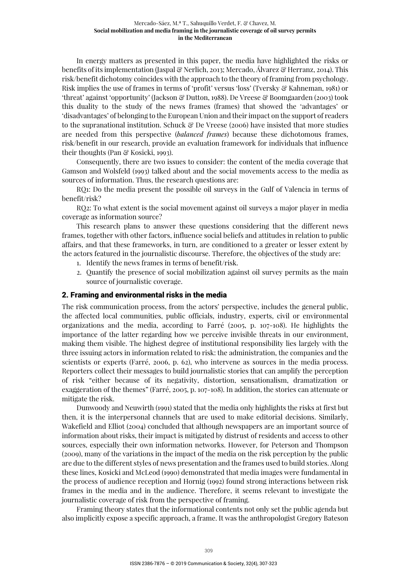In energy matters as presented in this paper, the media have highlighted the risks or benefits of its implementation (Jaspal & Nerlich, 2013; Mercado, Álvarez & Herranz, 2014). This risk/benefit dichotomy coincides with the approach to the theory of framing from psychology. Risk implies the use of frames in terms of 'profit' versus 'loss' (Tversky & Kahneman, 1981) or 'threat' against 'opportunity' (Jackson & Dutton, 1988). De Vreese & Boomgaarden (2003) took this duality to the study of the news frames (frames) that showed the 'advantages' or 'disadvantages' of belonging to the European Union and their impact on the support of readers to the supranational institution. Schuck  $\mathcal{C}$  De Vreese (2006) have insisted that more studies are needed from this perspective (*balanced frames*) because these dichotomous frames, risk/benefit in our research, provide an evaluation framework for individuals that influence their thoughts (Pan & Kosicki, 1993).

Consequently, there are two issues to consider: the content of the media coverage that Gamson and Wolsfeld (1993) talked about and the social movements access to the media as sources of information. Thus, the research questions are:

RQ1: Do the media present the possible oil surveys in the Gulf of Valencia in terms of benefit/risk?

RQ2: To what extent is the social movement against oil surveys a major player in media coverage as information source?

This research plans to answer these questions considering that the different news frames, together with other factors, influence social beliefs and attitudes in relation to public affairs, and that these frameworks, in turn, are conditioned to a greater or lesser extent by the actors featured in the journalistic discourse. Therefore, the objectives of the study are:

- 1. Identify the news frames in terms of benefit/risk.
- 2. Quantify the presence of social mobilization against oil survey permits as the main source of journalistic coverage.

# 2. Framing and environmental risks in the media

The risk communication process, from the actors' perspective, includes the general public, the affected local communities, public officials, industry, experts, civil or environmental organizations and the media, according to Farré (2005, p. 107-108). He highlights the importance of the latter regarding how we perceive invisible threats in our environment, making them visible. The highest degree of institutional responsibility lies largely with the three issuing actors in information related to risk: the administration, the companies and the scientists or experts (Farré, 2006, p. 62), who intervene as sources in the media process. Reporters collect their messages to build journalistic stories that can amplify the perception of risk "either because of its negativity, distortion, sensationalism, dramatization or exaggeration of the themes" (Farré, 2005, p. 107-108). In addition, the stories can attenuate or mitigate the risk.

Dunwoody and Neuwirth (1991) stated that the media only highlights the risks at first but then, it is the interpersonal channels that are used to make editorial decisions. Similarly, Wakefield and Elliot (2004) concluded that although newspapers are an important source of information about risks, their impact is mitigated by distrust of residents and access to other sources, especially their own information networks. However, for Peterson and Thompson (2009), many of the variations in the impact of the media on the risk perception by the public are due to the different styles of news presentation and the frames used to build stories. Along these lines, Kosicki and McLeod (1990) demonstrated that media images were fundamental in the process of audience reception and Hornig (1992) found strong interactions between risk frames in the media and in the audience. Therefore, it seems relevant to investigate the journalistic coverage of risk from the perspective of framing.

Framing theory states that the informational contents not only set the public agenda but also implicitly expose a specific approach, a frame. It was the anthropologist Gregory Bateson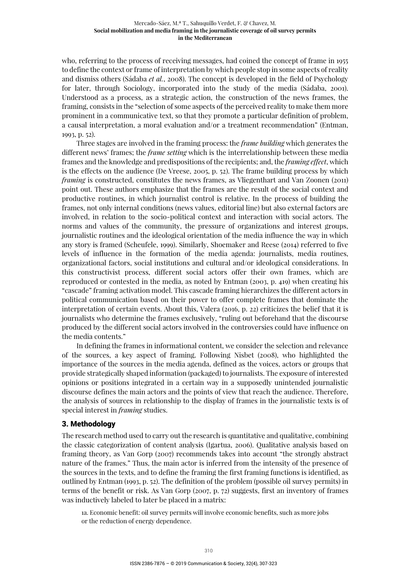who, referring to the process of receiving messages, had coined the concept of frame in 1955 to define the context or frame of interpretation by which people stop in some aspects of reality and dismiss others (Sádaba *et al.*, 2008). The concept is developed in the field of Psychology for later, through Sociology, incorporated into the study of the media (Sádaba, 2001). Understood as a process, as a strategic action, the construction of the news frames, the framing, consists in the "selection of some aspects of the perceived reality to make them more prominent in a communicative text, so that they promote a particular definition of problem, a causal interpretation, a moral evaluation and/or a treatment recommendation" (Entman, 1993, p. 52).

Three stages are involved in the framing process: the *frame building* which generates the different news' frames; the *frame setting* which is the interrelationship between these media frames and the knowledge and predispositions of the recipients; and, the *framing effect*, which is the effects on the audience (De Vreese, 2005, p. 52). The frame building process by which *framing* is constructed, constitutes the news frames, as Vliegenthart and Van Zoonen (2011) point out. These authors emphasize that the frames are the result of the social context and productive routines, in which journalist control is relative. In the process of building the frames, not only internal conditions (news values, editorial line) but also external factors are involved, in relation to the socio-political context and interaction with social actors. The norms and values of the community, the pressure of organizations and interest groups, journalistic routines and the ideological orientation of the media influence the way in which any story is framed (Scheufele, 1999). Similarly, Shoemaker and Reese (2014) referred to five levels of influence in the formation of the media agenda: journalists, media routines, organizational factors, social institutions and cultural and/or ideological considerations. In this constructivist process, different social actors offer their own frames, which are reproduced or contested in the media, as noted by Entman (2003, p. 419) when creating his "cascade" framing activation model. This cascade framing hierarchizes the different actors in political communication based on their power to offer complete frames that dominate the interpretation of certain events. About this, Valera (2016, p. 22) criticizes the belief that it is journalists who determine the frames exclusively, "ruling out beforehand that the discourse produced by the different social actors involved in the controversies could have influence on the media contents."

In defining the frames in informational content, we consider the selection and relevance of the sources, a key aspect of framing. Following Nisbet (2008), who highlighted the importance of the sources in the media agenda, defined as the voices, actors or groups that provide strategically shaped information (packaged) to journalists. The exposure of interested opinions or positions integrated in a certain way in a supposedly unintended journalistic discourse defines the main actors and the points of view that reach the audience. Therefore, the analysis of sources in relationship to the display of frames in the journalistic texts is of special interest in *framing* studies.

# 3. Methodology

The research method used to carry out the research is quantitative and qualitative, combining the classic categorization of content analysis (Igartua, 2006). Qualitative analysis based on framing theory, as Van Gorp (2007) recommends takes into account "the strongly abstract nature of the frames." Thus, the main actor is inferred from the intensity of the presence of the sources in the texts, and to define the framing the first framing functions is identified, as outlined by Entman (1993, p. 52). The definition of the problem (possible oil survey permits) in terms of the benefit or risk. As Van Gorp (2007, p. 72) suggests, first an inventory of frames was inductively labeled to later be placed in a matrix:

1a. Economic benefit: oil survey permits will involve economic benefits, such as more jobs or the reduction of energy dependence.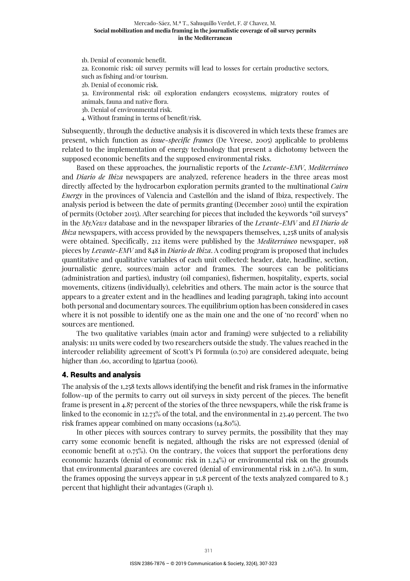1b. Denial of economic benefit. 2a. Economic risk: oil survey permits will lead to losses for certain productive sectors, such as fishing and/or tourism. 2b. Denial of economic risk. 3a. Environmental risk: oil exploration endangers ecosystems, migratory routes of animals, fauna and native flora. 3b. Denial of environmental risk. 4. Without framing in terms of benefit/risk.

Subsequently, through the deductive analysis it is discovered in which texts these frames are present, which function as *issue-specific frames* (De Vreese, 2005) applicable to problems related to the implementation of energy technology that present a dichotomy between the supposed economic benefits and the supposed environmental risks.

Based on these approaches, the journalistic reports of the *Levante-EMV*, *Mediterráneo* and *Diario de Ibiza* newspapers are analyzed, reference headers in the three areas most directly affected by the hydrocarbon exploration permits granted to the multinational *Cairn Energy* in the provinces of Valencia and Castellón and the island of Ibiza, respectively. The analysis period is between the date of permits granting (December 2010) until the expiration of permits (October 2015). After searching for pieces that included the keywords "oil surveys" in the *MyNews* database and in the newspaper libraries of the *Levante-EMV* and *El Diario de Ibiza* newspapers, with access provided by the newspapers themselves, 1,258 units of analysis were obtained. Specifically, 212 items were published by the *Mediterráneo* newspaper, 198 pieces by *Levante-EMV* and 848 in *Diario de Ibiza*. A coding program is proposed that includes quantitative and qualitative variables of each unit collected: header, date, headline, section, journalistic genre, sources/main actor and frames. The sources can be politicians (administration and parties), industry (oil companies), fishermen, hospitality, experts, social movements, citizens (individually), celebrities and others. The main actor is the source that appears to a greater extent and in the headlines and leading paragraph, taking into account both personal and documentary sources. The equilibrium option has been considered in cases where it is not possible to identify one as the main one and the one of 'no record' when no sources are mentioned.

The two qualitative variables (main actor and framing) were subjected to a reliability analysis: 111 units were coded by two researchers outside the study. The values reached in the intercoder reliability agreement of Scott's Pi formula (0.70) are considered adequate, being higher than .60, according to Igartua (2006).

# 4. Results and analysis

The analysis of the 1,258 texts allows identifying the benefit and risk frames in the informative follow-up of the permits to carry out oil surveys in sixty percent of the pieces. The benefit frame is present in 4.87 percent of the stories of the three newspapers, while the risk frame is linked to the economic in 12.73% of the total, and the environmental in 23.49 percent. The two risk frames appear combined on many occasions (14.80%).

In other pieces with sources contrary to survey permits, the possibility that they may carry some economic benefit is negated, although the risks are not expressed (denial of economic benefit at 0.75%). On the contrary, the voices that support the perforations deny economic hazards (denial of economic risk in 1.24%) or environmental risk on the grounds that environmental guarantees are covered (denial of environmental risk in 2.16%). In sum, the frames opposing the surveys appear in 51.8 percent of the texts analyzed compared to 8.3 percent that highlight their advantages (Graph 1).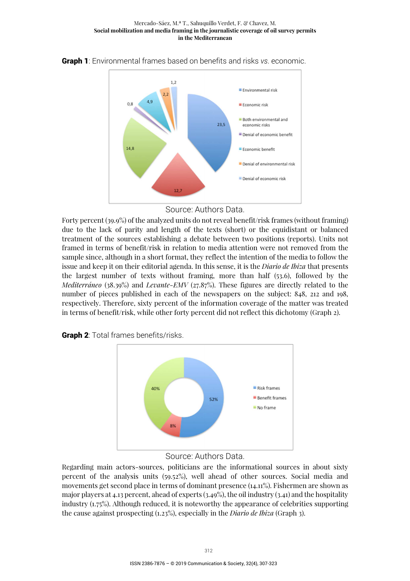

Graph 1: Environmental frames based on benefits and risks *vs*. economic.



Forty percent (39.9%) of the analyzed units do not reveal benefit/risk frames (without framing) due to the lack of parity and length of the texts (short) or the equidistant or balanced treatment of the sources establishing a debate between two positions (reports). Units not framed in terms of benefit/risk in relation to media attention were not removed from the sample since, although in a short format, they reflect the intention of the media to follow the issue and keep it on their editorial agenda. In this sense, it is the *Diario de Ibiza* that presents the largest number of texts without framing, more than half (53.6), followed by the *Mediterráneo* (38.39%) and *Levante-EMV* (27.87%). These figures are directly related to the number of pieces published in each of the newspapers on the subject: 848, 212 and 198, respectively. Therefore, sixty percent of the information coverage of the matter was treated in terms of benefit/risk, while other forty percent did not reflect this dichotomy (Graph 2).

**Graph 2:** Total frames benefits/risks.



# Source: Authors Data.

Regarding main actors-sources, politicians are the informational sources in about sixty percent of the analysis units (59.52%), well ahead of other sources. Social media and movements get second place in terms of dominant presence (14.11%). Fishermen are shown as major players at 4.13 percent, ahead of experts (3.49%), the oil industry (3.41) and the hospitality industry (1.75%). Although reduced, it is noteworthy the appearance of celebrities supporting the cause against prospecting (1.23%), especially in the *Diario de Ibiza* (Graph 3).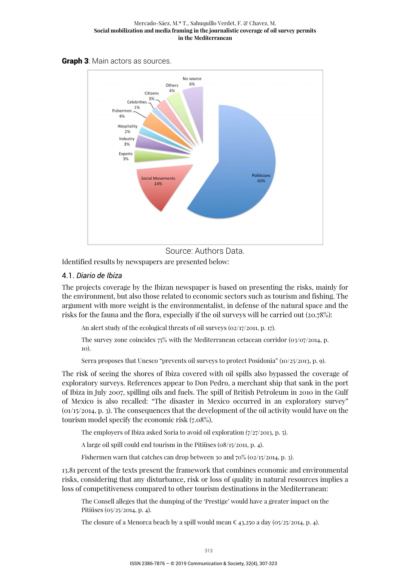



Source: Authors Data.

Identified results by newspapers are presented below:

# 4.1. *Diario de Ibiza*

The projects coverage by the Ibizan newspaper is based on presenting the risks, mainly for the environment, but also those related to economic sectors such as tourism and fishing. The argument with more weight is the environmentalist, in defense of the natural space and the risks for the fauna and the flora, especially if the oil surveys will be carried out (20.78%):

An alert study of the ecological threats of oil surveys (02/17/2011, p. 17).

The survey zone coincides  $75\%$  with the Mediterranean cetacean corridor (03/07/2014, p. 10).

Serra proposes that Unesco "prevents oil surveys to protect Posidonia" (10/25/2013, p. 9).

The risk of seeing the shores of Ibiza covered with oil spills also bypassed the coverage of exploratory surveys. References appear to Don Pedro, a merchant ship that sank in the port of Ibiza in July 2007, spilling oils and fuels. The spill of British Petroleum in 2010 in the Gulf of Mexico is also recalled: "The disaster in Mexico occurred in an exploratory survey" (01/15/2014, p. 3). The consequences that the development of the oil activity would have on the tourism model specify the economic risk (7.08%).

The employers of Ibiza asked Soria to avoid oil exploration (7/27/2013, p. 5).

A large oil spill could end tourism in the Pitiüses (08/15/2011, p. 4).

Fishermen warn that catches can drop between 30 and  $70\%$  (02/15/2014, p. 3).

13.81 percent of the texts present the framework that combines economic and environmental risks, considering that any disturbance, risk or loss of quality in natural resources implies a loss of competitiveness compared to other tourism destinations in the Mediterranean:

The Consell alleges that the dumping of the 'Prestige' would have a greater impact on the Pitiüses (05/25/2014, p. 4).

The closure of a Menorca beach by a spill would mean  $\epsilon$  43,250 a day (05/25/2014, p. 4).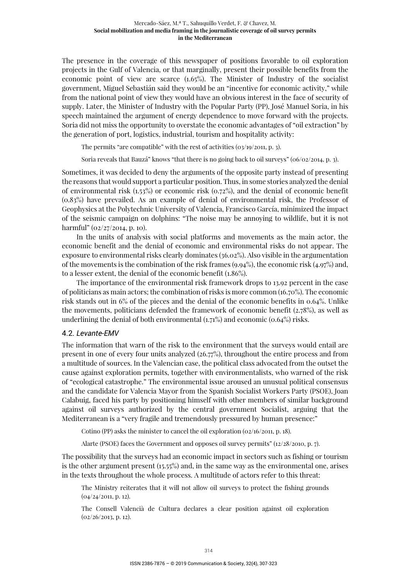The presence in the coverage of this newspaper of positions favorable to oil exploration projects in the Gulf of Valencia, or that marginally, present their possible benefits from the economic point of view are scarce (1.65%). The Minister of Industry of the socialist government, Miguel Sebastián said they would be an "incentive for economic activity," while from the national point of view they would have an obvious interest in the face of security of supply. Later, the Minister of Industry with the Popular Party (PP), José Manuel Soria, in his speech maintained the argument of energy dependence to move forward with the projects. Soria did not miss the opportunity to overstate the economic advantages of "oil extraction" by the generation of port, logistics, industrial, tourism and hospitality activity:

The permits "are compatible" with the rest of activities (03/19/2011, p. 3).

Soria reveals that Bauzá" knows "that there is no going back to oil surveys" (06/02/2014, p. 3).

Sometimes, it was decided to deny the arguments of the opposite party instead of presenting the reasons that would support a particular position. Thus, in some stories analyzed the denial of environmental risk  $(1.53\%)$  or economic risk  $(0.72\%)$ , and the denial of economic benefit (0.83%) have prevailed. As an example of denial of environmental risk, the Professor of Geophysics at the Polytechnic University of Valencia, Francisco García, minimized the impact of the seismic campaign on dolphins: "The noise may be annoying to wildlife, but it is not harmful" (02/27/2014, p. 10).

In the units of analysis with social platforms and movements as the main actor, the economic benefit and the denial of economic and environmental risks do not appear. The exposure to environmental risks clearly dominates (36.02%). Also visible in the argumentation of the movements is the combination of the risk frames (9.94%), the economic risk (4.97%) and, to a lesser extent, the denial of the economic benefit (1.86%).

The importance of the environmental risk framework drops to 13.92 percent in the case of politicians as main actors; the combination of risks is more common (16.70%). The economic risk stands out in 6% of the pieces and the denial of the economic benefits in 0.64%. Unlike the movements, politicians defended the framework of economic benefit (2.78%), as well as underlining the denial of both environmental  $(1.71\%)$  and economic  $(0.64\%)$  risks.

# 4.2. *Levante-EMV*

The information that warn of the risk to the environment that the surveys would entail are present in one of every four units analyzed (26.77%), throughout the entire process and from a multitude of sources. In the Valencian case, the political class advocated from the outset the cause against exploration permits, together with environmentalists, who warned of the risk of "ecological catastrophe." The environmental issue aroused an unusual political consensus and the candidate for Valencia Mayor from the Spanish Socialist Workers Party (PSOE), Joan Calabuig, faced his party by positioning himself with other members of similar background against oil surveys authorized by the central government Socialist, arguing that the Mediterranean is a "very fragile and tremendously pressured by human presence:"

Cotino (PP) asks the minister to cancel the oil exploration (02/16/2011, p. 18).

Alarte (PSOE) faces the Government and opposes oil survey permits" (12/28/2010, p. 7).

The possibility that the surveys had an economic impact in sectors such as fishing or tourism is the other argument present (15.55%) and, in the same way as the environmental one, arises in the texts throughout the whole process. A multitude of actors refer to this threat:

The Ministry reiterates that it will not allow oil surveys to protect the fishing grounds  $(04/24/2011, p. 12).$ 

The Consell Valencià de Cultura declares a clear position against oil exploration (02/26/2013, p. 12).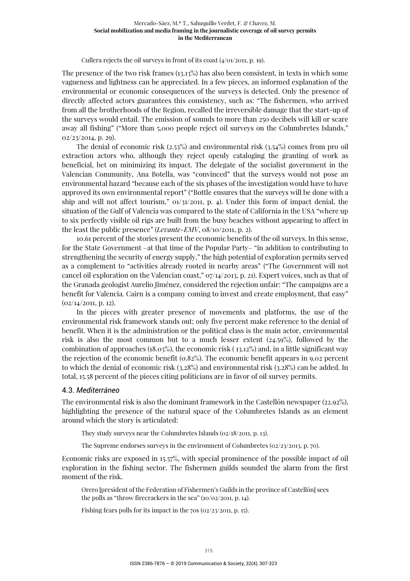#### Cullera rejects the oil surveys in front of its coast  $(4/01/2011, p. 19)$ .

The presence of the two risk frames (13.13%) has also been consistent, in texts in which some vagueness and lightness can be appreciated. In a few pieces, an informed explanation of the environmental or economic consequences of the surveys is detected. Only the presence of directly affected actors guarantees this consistency, such as: "The fishermen, who arrived from all the brotherhoods of the Region, recalled the irreversible damage that the start-up of the surveys would entail. The emission of sounds to more than 250 decibels will kill or scare away all fishing" ("More than 5,000 people reject oil surveys on the Columbretes Islands,"  $02/23/2014$ , p. 29).

The denial of economic risk (2.53%) and environmental risk (3.54%) comes from pro oil extraction actors who, although they reject openly cataloging the granting of work as beneficial, bet on minimizing its impact. The delegate of the socialist government in the Valencian Community, Ana Botella, was "convinced" that the surveys would not pose an environmental hazard "because each of the six phases of the investigation would have to have approved its own environmental report" ("Bottle ensures that the surveys will be done with a ship and will not affect tourism,"  $01/31/2011$ , p. 4). Under this form of impact denial, the situation of the Gulf of Valencia was compared to the state of California in the USA "where up to six perfectly visible oil rigs are built from the busy beaches without appearing to affect in the least the public presence" (*Levante-EMV*, 08/10/2011, p. 2).

10.61 percent of the stories present the economic benefits of the oil surveys. In this sense, for the State Government –at that time of the Popular Party– "in addition to contributing to strengthening the security of energy supply," the high potential of exploration permits served as a complement to "activities already rooted in nearby areas" ("The Government will not cancel oil exploration on the Valencian coast," 07/14/2013, p. 21). Expert voices, such as that of the Granada geologist Aurelio Jiménez, considered the rejection unfair: "The campaigns are a benefit for Valencia. Cairn is a company coming to invest and create employment, that easy"  $(02/14/2011, p. 12).$ 

In the pieces with greater presence of movements and platforms, the use of the environmental risk framework stands out; only five percent make reference to the denial of benefit. When it is the administration or the political class is the main actor, environmental risk is also the most common but to a much lesser extent (24.59%), followed by the combination of approaches (18.03%), the economic risk ( 13.12%) and, in a little significant way the rejection of the economic benefit (0.82%). The economic benefit appears in 9.02 percent to which the denial of economic risk (3.28%) and environmental risk (3.28%) can be added. In total, 15.58 percent of the pieces citing politicians are in favor of oil survey permits.

#### 4.3. *Mediterráneo*

The environmental risk is also the dominant framework in the Castellón newspaper (22.92%), highlighting the presence of the natural space of the Columbretes Islands as an element around which the story is articulated:

They study surveys near the Columbretes Islands (02/18/2011, p. 13).

The Supreme endorses surveys in the environment of Columbretes ( $\sigma$ 2/23/2013, p. 70).

Economic risks are exposed in 15.57%, with special prominence of the possible impact of oil exploration in the fishing sector. The fishermen guilds sounded the alarm from the first moment of the risk.

Orero [president of the Federation of Fishermen's Guilds in the province of Castellón] sees the polls as "throw firecrackers in the sea" (10/02/2011, p. 14).

Fishing fears polls for its impact in the 70s (02/23/2011, p. 15).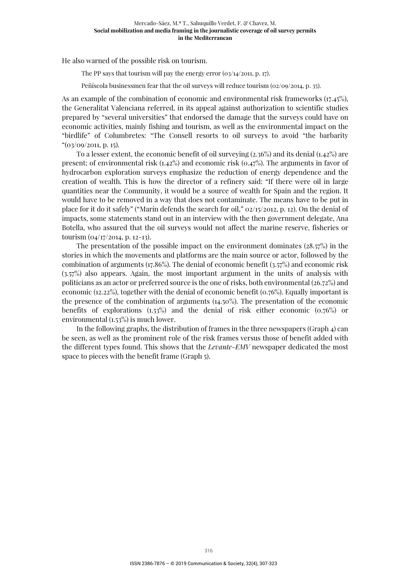He also warned of the possible risk on tourism.

The PP says that tourism will pay the energy error  $(03/14/2011, 0.17)$ .

Peñíscola businessmen fear that the oil surveys will reduce tourism (02/09/2014, p. 35).

As an example of the combination of economic and environmental risk frameworks (17.45%), the Generalitat Valenciana referred, in its appeal against authorization to scientific studies prepared by "several universities" that endorsed the damage that the surveys could have on economic activities, mainly fishing and tourism, as well as the environmental impact on the "birdlife" of Columbretes: "The Consell resorts to oil surveys to avoid "the barbarity  $"(03/09/2011, p. 15).$ 

To a lesser extent, the economic benefit of oil surveying (2.36%) and its denial (1.42%) are present; of environmental risk  $(1.42\%)$  and economic risk  $(0.47\%)$ . The arguments in favor of hydrocarbon exploration surveys emphasize the reduction of energy dependence and the creation of wealth. This is how the director of a refinery said: "If there were oil in large quantities near the Community, it would be a source of wealth for Spain and the region. It would have to be removed in a way that does not contaminate. The means have to be put in place for it do it safely" ("Marín defends the search for oil," 02/15/2012, p. 12). On the denial of impacts, some statements stand out in an interview with the then government delegate, Ana Botella, who assured that the oil surveys would not affect the marine reserve, fisheries or tourism (04/17/2014, p. 12-13).

The presentation of the possible impact on the environment dominates (28.57%) in the stories in which the movements and platforms are the main source or actor, followed by the combination of arguments (17.86%). The denial of economic benefit (3.57%) and economic risk (3.57%) also appears. Again, the most important argument in the units of analysis with politicians as an actor or preferred source is the one of risks, both environmental (26.72%) and economic (12.22%), together with the denial of economic benefit (0.76%). Equally important is the presence of the combination of arguments (14.50%). The presentation of the economic benefits of explorations (1.53%) and the denial of risk either economic (0.76%) or environmental (1.53%) is much lower.

In the following graphs, the distribution of frames in the three newspapers (Graph 4) can be seen, as well as the prominent role of the risk frames versus those of benefit added with the different types found. This shows that the *Levante-EMV* newspaper dedicated the most space to pieces with the benefit frame (Graph 5).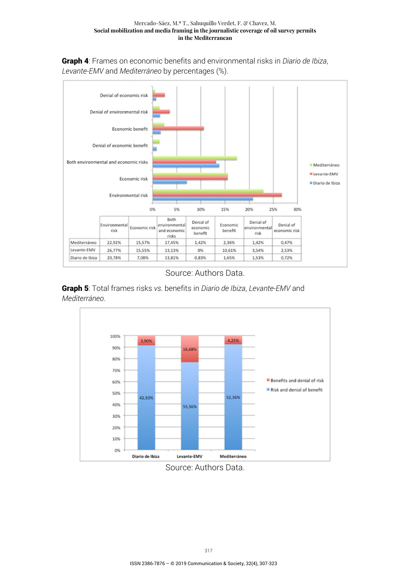Graph 4: Frames on economic benefits and environmental risks in *Diario de Ibiza*, *Levante-EMV* and *Mediterráneo* by percentages (%).



Source: Authors Data.





Source: Authors Data.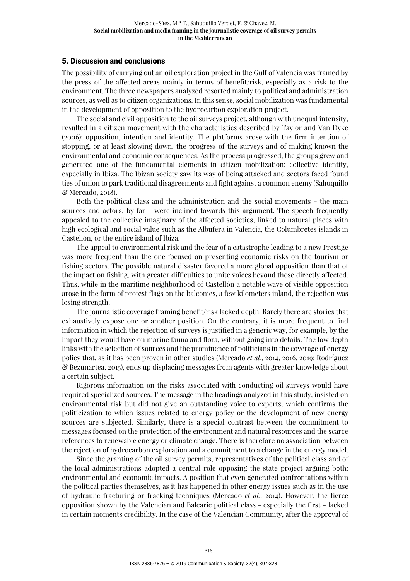# 5. Discussion and conclusions

The possibility of carrying out an oil exploration project in the Gulf of Valencia was framed by the press of the affected areas mainly in terms of benefit/risk, especially as a risk to the environment. The three newspapers analyzed resorted mainly to political and administration sources, as well as to citizen organizations. In this sense, social mobilization was fundamental in the development of opposition to the hydrocarbon exploration project.

The social and civil opposition to the oil surveys project, although with unequal intensity, resulted in a citizen movement with the characteristics described by Taylor and Van Dyke (2006): opposition, intention and identity. The platforms arose with the firm intention of stopping, or at least slowing down, the progress of the surveys and of making known the environmental and economic consequences. As the process progressed, the groups grew and generated one of the fundamental elements in citizen mobilization: collective identity, especially in Ibiza. The Ibizan society saw its way of being attacked and sectors faced found ties of union to park traditional disagreements and fight against a common enemy (Sahuquillo & Mercado, 2018).

Both the political class and the administration and the social movements - the main sources and actors, by far - were inclined towards this argument. The speech frequently appealed to the collective imaginary of the affected societies, linked to natural places with high ecological and social value such as the Albufera in Valencia, the Columbretes islands in Castellón, or the entire island of Ibiza.

The appeal to environmental risk and the fear of a catastrophe leading to a new Prestige was more frequent than the one focused on presenting economic risks on the tourism or fishing sectors. The possible natural disaster favored a more global opposition than that of the impact on fishing, with greater difficulties to unite voices beyond those directly affected. Thus, while in the maritime neighborhood of Castellón a notable wave of visible opposition arose in the form of protest flags on the balconies, a few kilometers inland, the rejection was losing strength.

The journalistic coverage framing benefit/risk lacked depth. Rarely there are stories that exhaustively expose one or another position. On the contrary, it is more frequent to find information in which the rejection of surveys is justified in a generic way, for example, by the impact they would have on marine fauna and flora, without going into details. The low depth links with the selection of sources and the prominence of politicians in the coverage of energy policy that, as it has been proven in other studies (Mercado *et al.*, 2014, 2016, 2019; Rodríguez & Bezunartea, 2015), ends up displacing messages from agents with greater knowledge about a certain subject.

Rigorous information on the risks associated with conducting oil surveys would have required specialized sources. The message in the headings analyzed in this study, insisted on environmental risk but did not give an outstanding voice to experts, which confirms the politicization to which issues related to energy policy or the development of new energy sources are subjected. Similarly, there is a special contrast between the commitment to messages focused on the protection of the environment and natural resources and the scarce references to renewable energy or climate change. There is therefore no association between the rejection of hydrocarbon exploration and a commitment to a change in the energy model.

Since the granting of the oil survey permits, representatives of the political class and of the local administrations adopted a central role opposing the state project arguing both: environmental and economic impacts. A position that even generated confrontations within the political parties themselves, as it has happened in other energy issues such as in the use of hydraulic fracturing or fracking techniques (Mercado *et al.*, 2014). However, the fierce opposition shown by the Valencian and Balearic political class - especially the first - lacked in certain moments credibility. In the case of the Valencian Community, after the approval of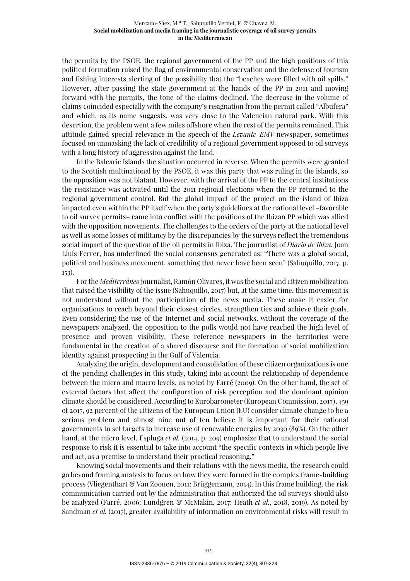the permits by the PSOE, the regional government of the PP and the high positions of this political formation raised the flag of environmental conservation and the defense of tourism and fishing interests alerting of the possibility that the "beaches were filled with oil spills." However, after passing the state government at the hands of the PP in 2011 and moving forward with the permits, the tone of the claims declined. The decrease in the volume of claims coincided especially with the company's resignation from the permit called "Albufera" and which, as its name suggests, was very close to the Valencian natural park. With this desertion, the problem went a few miles offshore when the rest of the permits remained. This attitude gained special relevance in the speech of the *Levante-EMV* newspaper, sometimes focused on unmasking the lack of credibility of a regional government opposed to oil surveys with a long history of aggression against the land.

In the Balearic Islands the situation occurred in reverse. When the permits were granted to the Scottish multinational by the PSOE, it was this party that was ruling in the islands, so the opposition was not blatant. However, with the arrival of the PP to the central institutions the resistance was activated until the 2011 regional elections when the PP returned to the regional government control. But the global impact of the project on the island of Ibiza impacted even within the PP itself when the party's guidelines at the national level –favorable to oil survey permits– came into conflict with the positions of the Ibizan PP which was allied with the opposition movements. The challenges to the orders of the party at the national level as well as some losses of militancy by the discrepancies by the surveys reflect the tremendous social impact of the question of the oil permits in Ibiza. The journalist of *Diario de Ibiza*, Joan Lluís Ferrer, has underlined the social consensus generated as: "There was a global social, political and business movement, something that never have been seen" (Sahuquillo, 2017, p. 153).

For the *Mediterráneo* journalist, Ramón Olivares, it was the social and citizen mobilization that raised the visibility of the issue (Sahuquillo, 2017) but, at the same time, this movement is not understood without the participation of the news media. These make it easier for organizations to reach beyond their closest circles, strengthen ties and achieve their goals. Even considering the use of the Internet and social networks, without the coverage of the newspapers analyzed, the opposition to the polls would not have reached the high level of presence and proven visibility. These reference newspapers in the territories were fundamental in the creation of a shared discourse and the formation of social mobilization identity against prospecting in the Gulf of Valencia.

Analyzing the origin, development and consolidation of these citizen organizations is one of the pending challenges in this study, taking into account the relationship of dependence between the micro and macro levels, as noted by Farré (2009). On the other hand, the set of external factors that affect the configuration of risk perception and the dominant opinion climate should be considered. According to Eurobarometer (European Commission, 2017), 459 of 2017, 92 percent of the citizens of the European Union (EU) consider climate change to be a serious problem and almost nine out of ten believe it is important for their national governments to set targets to increase use of renewable energies by 2030 (89%). On the other hand, at the micro level, Espluga *et al.* (2014, p. 209) emphasize that to understand the social response to risk it is essential to take into account "the specific contexts in which people live and act, as a premise to understand their practical reasoning."

Knowing social movements and their relations with the news media, the research could go beyond framing analysis to focus on how they were formed in the complex frame-building process (Vliegenthart  $\mathcal{C}$  Van Zoonen, 2011; Brüggemann, 2014). In this frame building, the risk communication carried out by the administration that authorized the oil surveys should also be analyzed (Farré, 2006; Lundgren & McMakin, 2017; Heath *et al.*, 2018, 2019). As noted by Sandman *et al.* (2017), greater availability of information on environmental risks will result in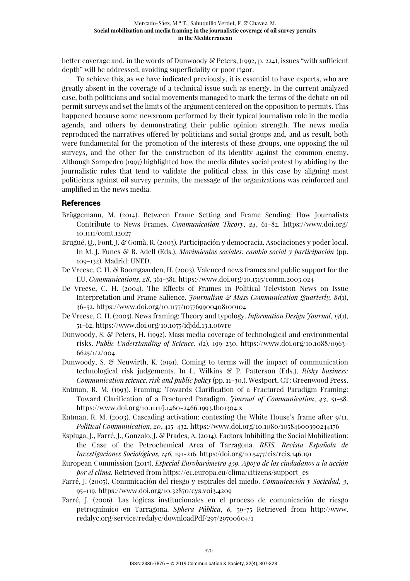better coverage and, in the words of Dunwoody  $\mathcal{C}$  Peters, (1992, p. 224), issues "with sufficient depth" will be addressed, avoiding superficiality or poor rigor.

To achieve this, as we have indicated previously, it is essential to have experts, who are greatly absent in the coverage of a technical issue such as energy. In the current analyzed case, both politicians and social movements managed to mark the terms of the debate on oil permit surveys and set the limits of the argument centered on the opposition to permits. This happened because some newsroom performed by their typical journalism role in the media agenda, and others by demonstrating their public opinion strength. The news media reproduced the narratives offered by politicians and social groups and, and as result, both were fundamental for the promotion of the interests of these groups, one opposing the oil surveys, and the other for the construction of its identity against the common enemy. Although Sampedro (1997) highlighted how the media dilutes social protest by abiding by the journalistic rules that tend to validate the political class, in this case by aligning most politicians against oil survey permits, the message of the organizations was reinforced and amplified in the news media.

### References

- Brüggemann, M. (2014). Between Frame Setting and Frame Sending: How Journalists Contribute to News Frames. *Communication Theory*, *24*, 61–82. https://www.doi.org/ 10.1111/comt.12027
- Brugué, Q., Font, J. & Gomà, R. (2003). Participación y democracia. Asociaciones y poder local. In M. J. Funes & R. Adell (Eds.), *Movimientos sociales: cambio social y participación* (pp. 109-132). Madrid: UNED.
- De Vreese, C. H. & Boomgaarden, H. (2003). Valenced news frames and public support for the EU. *Communications*, *28*, 361-381. https://www.doi.org/10.1515/comm.2003.024
- De Vreese, C. H. (2004). The Effects of Frames in Political Television News on Issue Interpretation and Frame Salience. *Journalism & Mass Communication Quarterly, 81*(1), 36-52. https://www.doi.org/10.1177/107769900408100104
- De Vreese, C. H. (2005). News framing: Theory and typology. *Information Design Journal*, *13*(1), 51-62. https://www.doi.org/10.1075/idjdd.13.1.06vre
- Dunwoody, S. & Peters, H. (1992). Mass media coverage of technological and environmental risks. *Public Understanding of Science, 1*(2), 199-230. https://www.doi.org/10.1088/0963- 6625/1/2/004
- Dunwoody, S. & Neuwirth, K. (1991). Coming to terms will the impact of communication technological risk judgements. In L. Wilkins & P. Patterson (Eds.), *Risky business: Communication science, risk and public policy* (pp. 11-30.). Westport, CT: Greenwood Press.
- Entman, R. M. (1993). Framing: Towards Clarification of a Fractured Paradigm Framing: Toward Clarification of a Fractured Paradigm. *Journal of Communication*, *43*, 51-58. https://www.doi.org/10.1111/j.1460-2466.1993.tb01304.x
- Entman, R. M. (2003). Cascading activation: contesting the White House's frame after 9/11. *Political Communication*, *20*, 415–432. https://www.doi.org/10.1080/10584600390244176
- Espluga, J., Farré, J., Gonzalo, J. & Prades, A. (2014). Factors Inhibiting the Social Mobilization: the Case of the Petrochemical Area of Tarragona. *REIS. Revista Española de Investigaciones Sociológicas, 146,* 191-216. https:/doi.org/10.5477/cis/reis.146.191
- European Commission (2017). *Especial Eurobarómetro 459. Apoyo de los ciudadanos a la acción por el clima.* Retrieved from https://ec.europa.eu/clima/citizens/support\_es
- Farré, J. (2005). Comunicación del riesgo y espirales del miedo. *Comunicación y Sociedad, 3*, 95-119. https://www.doi.org/10.32870/cys.v0i3.4209
- Farré, J. (2006). Las lógicas institucionales en el proceso de comunicación de riesgo petroquímico en Tarragona. *Sphera Pública*, *6,* 59-75 Retrieved from http://www. redalyc.org/service/redalyc/downloadPdf/297/29700604/1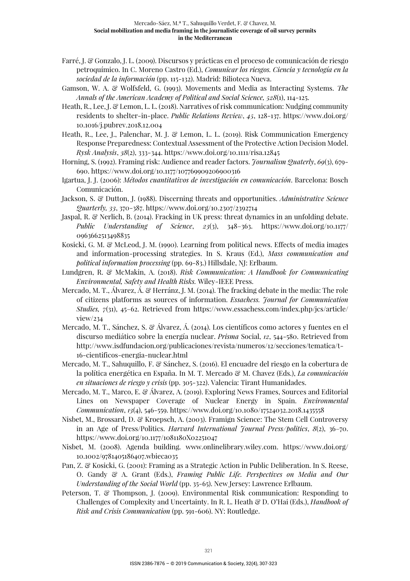- Farré, J. & Gonzalo, J. L. (2009). Discursos y prácticas en el proceso de comunicación de riesgo petroquímico. In C. Moreno Castro (Ed.), *Comunicar los riesgos. Ciencia y tecnología en la sociedad de la información* (pp. 115-132). Madrid: Bilioteca Nueva.
- Gamson, W. A. & Wolfsfeld, G. (1993). Movements and Media as Interacting Systems. *The Annals of the American Academy of Political and Social Science, 528*(1), 114-125.
- Heath, R., Lee, J. & Lemon, L. L. (2018). Narratives of risk communication: Nudging community residents to shelter-in-place. *Public Relations Review*, *45*, 128-137. https://www.doi.org/ 10.1016/j.pubrev.2018.12.004
- Heath, R., Lee, J., Palenchar, M. J. & Lemon, L. L. (2019). Risk Communication Emergency Response Preparedness: Contextual Assessment of the Protective Action Decision Model. *Rysk Analysis*, *38*(2), 333-344. https://www.doi.org/10.1111/risa.12845
- Horning, S. (1992). Framing risk: Audience and reader factors. *Journalism Quaterly*, *69*(3), 679- 690. https://www.doi.org/10.1177/107769909206900316
- Igartua, J. J. (2006): *Métodos cuantitativos de investigación en comunicación*. Barcelona: Bosch Comunicación.
- Jackson, S. & Dutton, J. (1988). Discerning threats and opportunities. *Administrative Science Quarterly, 33*, 370-387. https://www.doi.org/10.2307/2392714
- Jaspal, R. & Nerlich, B. (2014). Fracking in UK press: threat dynamics in an unfolding debate. *Public Understanding of Science*, *23*(3), 348–363. https://www.doi.org/10.1177/ 0963662513498835
- Kosicki, G. M. & McLeod, J. M. (1990). Learning from political news. Effects of media images and information-processing strategies. In S. Kraus (Ed.), *Mass communication and political information processing* (pp. 69-83.) Hillsdale, NJ: Erlbaum.
- Lundgren, R. & McMakin, A. (2018). *Risk Communication: A Handbook for Communicating Environmental, Safety and Health Risks.* Wiley-IEEE Press.
- Mercado, M. T., Álvarez, Á. & Herránz, J. M. (2014). The fracking debate in the media: The role of citizens platforms as sources of information. *Essachess. Journal for Communication Studies, 7*(31), 45–62. Retrieved from https://www.essachess.com/index.php/jcs/article/ view/234
- Mercado, M. T., Sánchez, S. & Álvarez, Á. (2014). Los científicos como actores y fuentes en el discurso mediático sobre la energía nuclear. *Prisma* Social, *12*, 544-580. Retrieved from http://www.isdfundacion.org/publicaciones/revista/numeros/12/secciones/tematica/t-16-cientificos-energia-nuclear.html
- Mercado, M. T., Sahuquillo, F. & Sánchez, S. (2016). El encuadre del riesgo en la cobertura de la política energética en España. In M. T. Mercado & M. Chavez (Eds.), *La comunicación en situaciones de riesgo y crisis* (pp. 305-322). Valencia: Tirant Humanidades.
- Mercado, M. T., Marco, E. & Álvarez, A. (2019). Exploring News Frames, Sources and Editorial Lines on Newspaper Coverage of Nuclear Energy in Spain. *Environmental Communication*, *13*(4), 546-559. https://www.doi.org/10.1080/17524032.2018.1435558
- Nisbet, M., Brossard, D. & Kroepsch, A. (2003). Framign Science: The Stem Cell Controversy in an Age of Press/Politics. *Harvard International Journal Press/politics*, *8*(2), 36–70. https://www.doi.org/10.1177/1081180X02251047
- Nisbet, M. (2008). Agenda building. www.onlinelibrary.wiley.com. https://www.doi.org/ 10.1002/9781405186407.wbieca035
- Pan, Z. & Kosicki, G. (2001): Framing as a Strategic Action in Public Deliberation. In S. Reese, O. Gandy & A. Grant (Eds.), *Framing Public Life. Perspectives on Media and Our Understanding of the Social World* (pp. 35-65). New Jersey: Lawrence Erlbaum.
- Peterson, T. & Thompson, J. (2009). Environmental Risk communication: Responding to Challenges of Complexity and Uncertainty. In R. L. Heath & D. O'Hai (Eds.), *Handbook of Risk and Crisis Communication* (pp. 591-606). NY: Routledge.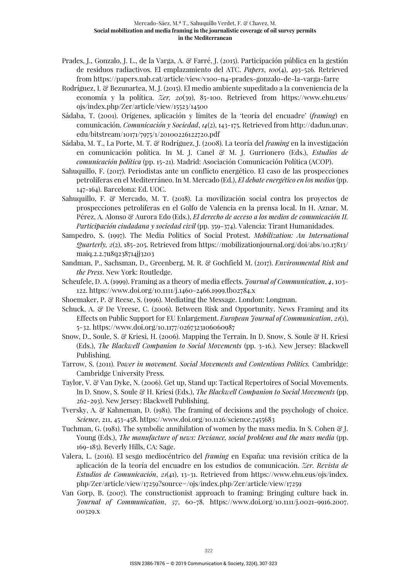- Prades, J., Gonzalo, J. L., de la Varga, A. & Farré, J. (2015). Participación pública en la gestión de residuos radiactivos. El emplazamiento del ATC. *Papers*, *100*(4), 493-526. Retrieved from https://papers.uab.cat/article/view/v100-n4-prades-gonzalo-de-la-varga-farre
- Rodríguez, I. & Bezunartea, M. J. (2015). El medio ambiente supeditado a la conveniencia de la economía y la política. *Zer, 20*(39), 85-100. Retrieved from https://www.ehu.eus/ ojs/index.php/Zer/article/view/15523/14500
- Sádaba, T. (2001). Orígenes, aplicación y límites de la 'teoría del encuadre' (*framing*) en comunicación. *Comunicación y Sociedad*, *14*(2), 143-175. Retrieved from http://dadun.unav. edu/bitstream/10171/7975/1/20100226122720.pdf
- Sádaba, M. T., La Porte, M. T. & Rodríguez, J. (2008). La teoría del *framing* en la investigación en comunicación política. In M. J. Canel & M. J. Gurrionero (Eds.), *Estudios de comunicación política* (pp. 15-21). Madrid: Asociación Comunicación Política (ACOP).
- Sahuquillo, F. (2017). Periodistas ante un conflicto energético. El caso de las prospecciones petrolíferas en el Mediterráneo. In M. Mercado (Ed.), *El debate energético en los medios* (pp. 147-164). Barcelona: Ed. UOC.
- Sahuquillo, F. & Mercado, M. T. (2018). La movilización social contra los proyectos de prospecciones petrolíferas en el Golfo de Valencia en la prensa local. In H. Aznar, M. Pérez, A. Alonso & Aurora Edo (Eds.), *El derecho de acceso a los medios de comunicación II. Participación ciudadana y sociedad civil* (pp. 359-374). Valencia: Tirant Humanidades.
- Sampedro, S. (1997). The Media Politics of Social Protest. *Mobilization: An International Quarterly, 2*(2), 185-205. Retrieved from https://mobilizationjournal.org/doi/abs/10.17813/ maiq.2.2.7u8q238714jj3203
- Sandman, P., Sachsman, D., Greenberg, M. R. & Gochfield M. (2017). *Environmental Risk and the Press*. New York: Routledge.
- Scheufele, D. A. (1999). Framing as a theory of media effects. *Journal of Communication*, *4*, 103- 122. https://www.doi.org/10.1111/j.1460-2466.1999.tb02784.x
- Shoemaker, P. & Reese, S. (1996). Mediating the Message. London: Longman.
- Schuck, A. & De Vreese, C. (2006). Between Risk and Opportunity. News Framing and its Effects on Public Support for EU Enlargement. *European Journal of Communication*, *21*(1), 5-32. https://www.doi.org/10.1177/0267323106060987
- Snow, D., Soule, S. & Kriesi, H. (2006). Mapping the Terrain. In D. Snow, S. Soule & H. Kriesi (Eds.), *The Blackwell Companion to Social Movements* (pp. 3-16.). New Jersey: Blackwell Publishing.
- Tarrow, S. (2011). P*ower in movement. Social Movements and Contentious Politics.* Cambridge: Cambridge University Press.
- Taylor, V. & Van Dyke, N. (2006). Get up, Stand up: Tactical Repertoires of Social Movements. In D. Snow, S. Soule & H. Kriesi (Eds.), *The Blackwell Companion to Social Movements* (pp. 262-293). New Jersey: Blackwell Publishing.
- Tversky, A. & Kahneman, D. (1981). The framing of decisions and the psychology of choice. *Science*, 211, 453-458. https://www.doi.org/10.1126/science.7455683
- Tuchman, G. (1981). The symbolic annihilation of women by the mass media. In S. Cohen  $\mathscr{F}J$ . Young (Eds.), *The manufacture of news: Deviance, social problems and the mass media* (pp. 169-185). Beverly Hills, CA: Sage.
- Valera, L. (2016). El sesgo mediocéntrico del *framing* en España: una revisión crítica de la aplicación de la teoría del encuadre en los estudios de comunicación. *Zer. Revista de Estudios de Comunicación*, *21*(41), 13-31. Retrieved from https://www.ehu.eus/ojs/index. php/Zer/article/view/17259?source=/ojs/index.php/Zer/article/view/17259
- Van Gorp, B. (2007). The constructionist approach to framing: Bringing culture back in. *Journal of Communication*, *57*, 60-78. https://www.doi.org/10.1111/j.0021-9916.2007. 00329.x